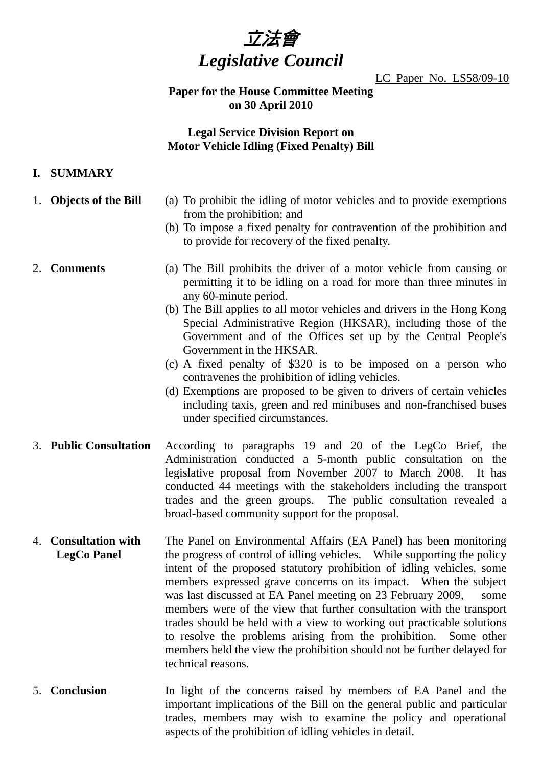

LC Paper No. LS58/09-10

## **Paper for the House Committee Meeting on 30 April 2010**

# **Legal Service Division Report on Motor Vehicle Idling (Fixed Penalty) Bill**

# **I. SUMMARY**

- 
- 1. **Objects of the Bill** (a) To prohibit the idling of motor vehicles and to provide exemptions from the prohibition; and
	- (b) To impose a fixed penalty for contravention of the prohibition and to provide for recovery of the fixed penalty.

- 2. **Comments** (a) The Bill prohibits the driver of a motor vehicle from causing or permitting it to be idling on a road for more than three minutes in any 60-minute period.
	- (b) The Bill applies to all motor vehicles and drivers in the Hong Kong Special Administrative Region (HKSAR), including those of the Government and of the Offices set up by the Central People's Government in the HKSAR.
	- (c) A fixed penalty of \$320 is to be imposed on a person who contravenes the prohibition of idling vehicles.
	- (d) Exemptions are proposed to be given to drivers of certain vehicles including taxis, green and red minibuses and non-franchised buses under specified circumstances.
- 3. **Public Consultation** According to paragraphs 19 and 20 of the LegCo Brief, the Administration conducted a 5-month public consultation on the legislative proposal from November 2007 to March 2008. It has conducted 44 meetings with the stakeholders including the transport trades and the green groups. The public consultation revealed a broad-based community support for the proposal.
- 4. **Consultation with LegCo Panel**  The Panel on Environmental Affairs (EA Panel) has been monitoring the progress of control of idling vehicles. While supporting the policy intent of the proposed statutory prohibition of idling vehicles, some members expressed grave concerns on its impact. When the subject was last discussed at EA Panel meeting on 23 February 2009, some members were of the view that further consultation with the transport trades should be held with a view to working out practicable solutions to resolve the problems arising from the prohibition. Some other members held the view the prohibition should not be further delayed for technical reasons.
- 5. **Conclusion** In light of the concerns raised by members of EA Panel and the important implications of the Bill on the general public and particular trades, members may wish to examine the policy and operational aspects of the prohibition of idling vehicles in detail.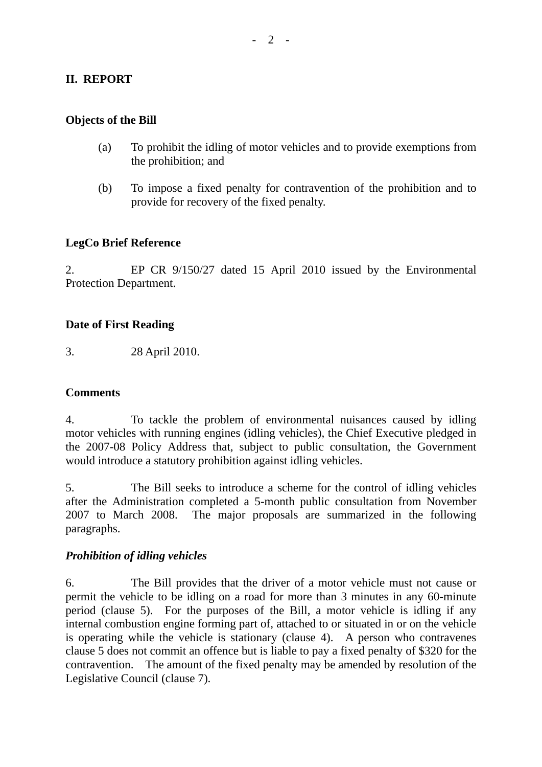# **II. REPORT**

#### **Objects of the Bill**

- (a) To prohibit the idling of motor vehicles and to provide exemptions from the prohibition; and
- (b) To impose a fixed penalty for contravention of the prohibition and to provide for recovery of the fixed penalty.

### **LegCo Brief Reference**

2. EP CR 9/150/27 dated 15 April 2010 issued by the Environmental Protection Department.

#### **Date of First Reading**

3. 28 April 2010.

### **Comments**

4. To tackle the problem of environmental nuisances caused by idling motor vehicles with running engines (idling vehicles), the Chief Executive pledged in the 2007-08 Policy Address that, subject to public consultation, the Government would introduce a statutory prohibition against idling vehicles.

5. The Bill seeks to introduce a scheme for the control of idling vehicles after the Administration completed a 5-month public consultation from November 2007 to March 2008. The major proposals are summarized in the following paragraphs.

### *Prohibition of idling vehicles*

6. The Bill provides that the driver of a motor vehicle must not cause or permit the vehicle to be idling on a road for more than 3 minutes in any 60-minute period (clause 5). For the purposes of the Bill, a motor vehicle is idling if any internal combustion engine forming part of, attached to or situated in or on the vehicle is operating while the vehicle is stationary (clause 4). A person who contravenes clause 5 does not commit an offence but is liable to pay a fixed penalty of \$320 for the contravention. The amount of the fixed penalty may be amended by resolution of the Legislative Council (clause 7).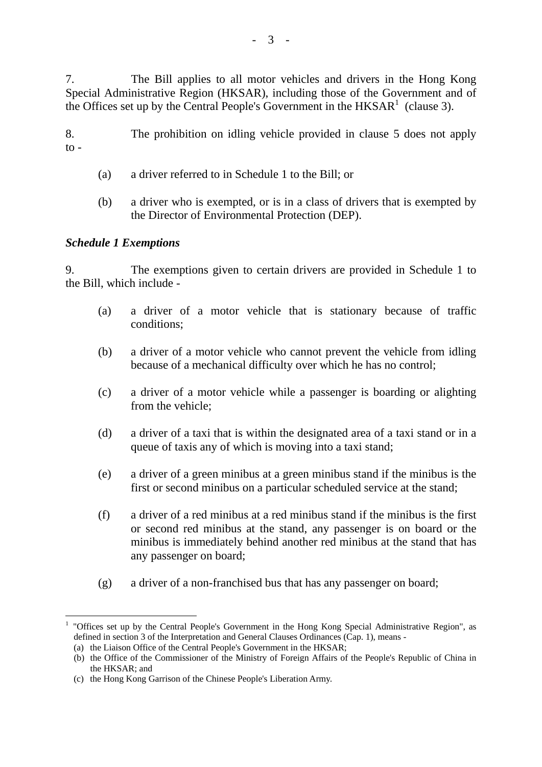7. The Bill applies to all motor vehicles and drivers in the Hong Kong Special Administrative Region (HKSAR), including those of the Government and of the Offices set up by the Central People's Government in the  $HKSAR<sup>1</sup>$  (clause 3).

8. The prohibition on idling vehicle provided in clause 5 does not apply  $\overline{10}$  -

- (a) a driver referred to in Schedule 1 to the Bill; or
- (b) a driver who is exempted, or is in a class of drivers that is exempted by the Director of Environmental Protection (DEP).

## *Schedule 1 Exemptions*

 $\overline{a}$ 

9. The exemptions given to certain drivers are provided in Schedule 1 to the Bill, which include -

- (a) a driver of a motor vehicle that is stationary because of traffic conditions;
- (b) a driver of a motor vehicle who cannot prevent the vehicle from idling because of a mechanical difficulty over which he has no control;
- (c) a driver of a motor vehicle while a passenger is boarding or alighting from the vehicle;
- (d) a driver of a taxi that is within the designated area of a taxi stand or in a queue of taxis any of which is moving into a taxi stand;
- (e) a driver of a green minibus at a green minibus stand if the minibus is the first or second minibus on a particular scheduled service at the stand;
- (f) a driver of a red minibus at a red minibus stand if the minibus is the first or second red minibus at the stand, any passenger is on board or the minibus is immediately behind another red minibus at the stand that has any passenger on board;
- (g) a driver of a non-franchised bus that has any passenger on board;

<sup>&</sup>lt;sup>1</sup> "Offices set up by the Central People's Government in the Hong Kong Special Administrative Region", as defined in section 3 of the Interpretation and General Clauses Ordinances (Cap. 1), means -

<sup>(</sup>a) the Liaison Office of the Central People's Government in the HKSAR;

<sup>(</sup>b) the Office of the Commissioner of the Ministry of Foreign Affairs of the People's Republic of China in the HKSAR; and

<sup>(</sup>c) the Hong Kong Garrison of the Chinese People's Liberation Army.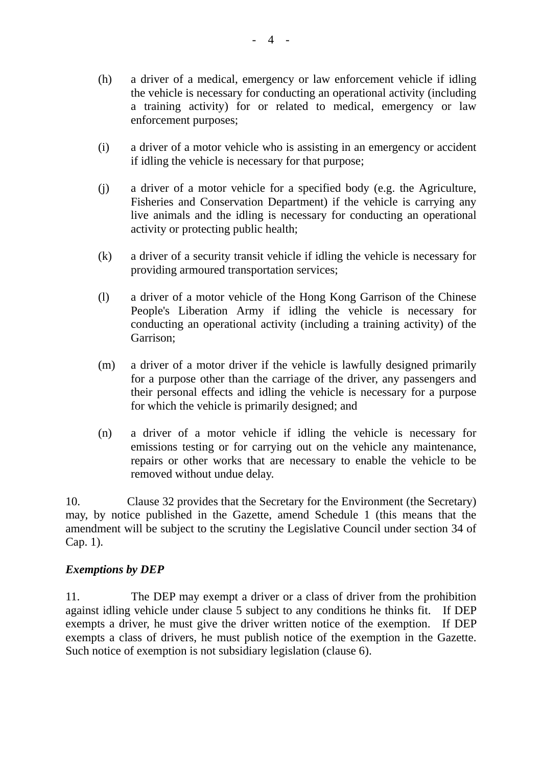- (h) a driver of a medical, emergency or law enforcement vehicle if idling the vehicle is necessary for conducting an operational activity (including a training activity) for or related to medical, emergency or law enforcement purposes;
- (i) a driver of a motor vehicle who is assisting in an emergency or accident if idling the vehicle is necessary for that purpose;
- (j) a driver of a motor vehicle for a specified body (e.g. the Agriculture, Fisheries and Conservation Department) if the vehicle is carrying any live animals and the idling is necessary for conducting an operational activity or protecting public health;
- (k) a driver of a security transit vehicle if idling the vehicle is necessary for providing armoured transportation services;
- (l) a driver of a motor vehicle of the Hong Kong Garrison of the Chinese People's Liberation Army if idling the vehicle is necessary for conducting an operational activity (including a training activity) of the Garrison;
- (m) a driver of a motor driver if the vehicle is lawfully designed primarily for a purpose other than the carriage of the driver, any passengers and their personal effects and idling the vehicle is necessary for a purpose for which the vehicle is primarily designed; and
- (n) a driver of a motor vehicle if idling the vehicle is necessary for emissions testing or for carrying out on the vehicle any maintenance, repairs or other works that are necessary to enable the vehicle to be removed without undue delay.

10. Clause 32 provides that the Secretary for the Environment (the Secretary) may, by notice published in the Gazette, amend Schedule 1 (this means that the amendment will be subject to the scrutiny the Legislative Council under section 34 of Cap. 1).

# *Exemptions by DEP*

11. The DEP may exempt a driver or a class of driver from the prohibition against idling vehicle under clause 5 subject to any conditions he thinks fit. If DEP exempts a driver, he must give the driver written notice of the exemption. If DEP exempts a class of drivers, he must publish notice of the exemption in the Gazette. Such notice of exemption is not subsidiary legislation (clause 6).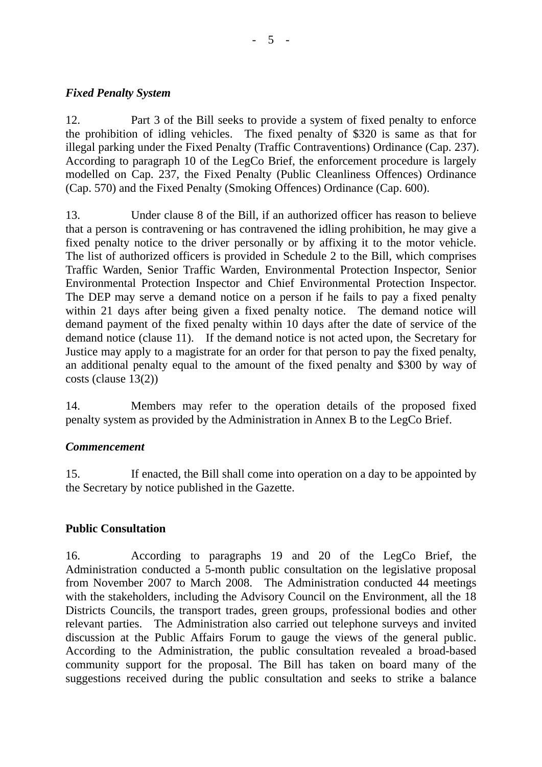## *Fixed Penalty System*

12. Part 3 of the Bill seeks to provide a system of fixed penalty to enforce the prohibition of idling vehicles. The fixed penalty of \$320 is same as that for illegal parking under the Fixed Penalty (Traffic Contraventions) Ordinance (Cap. 237). According to paragraph 10 of the LegCo Brief, the enforcement procedure is largely modelled on Cap. 237, the Fixed Penalty (Public Cleanliness Offences) Ordinance (Cap. 570) and the Fixed Penalty (Smoking Offences) Ordinance (Cap. 600).

13. Under clause 8 of the Bill, if an authorized officer has reason to believe that a person is contravening or has contravened the idling prohibition, he may give a fixed penalty notice to the driver personally or by affixing it to the motor vehicle. The list of authorized officers is provided in Schedule 2 to the Bill, which comprises Traffic Warden, Senior Traffic Warden, Environmental Protection Inspector, Senior Environmental Protection Inspector and Chief Environmental Protection Inspector. The DEP may serve a demand notice on a person if he fails to pay a fixed penalty within 21 days after being given a fixed penalty notice. The demand notice will demand payment of the fixed penalty within 10 days after the date of service of the demand notice (clause 11). If the demand notice is not acted upon, the Secretary for Justice may apply to a magistrate for an order for that person to pay the fixed penalty, an additional penalty equal to the amount of the fixed penalty and \$300 by way of costs (clause 13(2))

14. Members may refer to the operation details of the proposed fixed penalty system as provided by the Administration in Annex B to the LegCo Brief.

# *Commencement*

15. If enacted, the Bill shall come into operation on a day to be appointed by the Secretary by notice published in the Gazette.

# **Public Consultation**

16. According to paragraphs 19 and 20 of the LegCo Brief, the Administration conducted a 5-month public consultation on the legislative proposal from November 2007 to March 2008. The Administration conducted 44 meetings with the stakeholders, including the Advisory Council on the Environment, all the 18 Districts Councils, the transport trades, green groups, professional bodies and other relevant parties. The Administration also carried out telephone surveys and invited discussion at the Public Affairs Forum to gauge the views of the general public. According to the Administration, the public consultation revealed a broad-based community support for the proposal. The Bill has taken on board many of the suggestions received during the public consultation and seeks to strike a balance